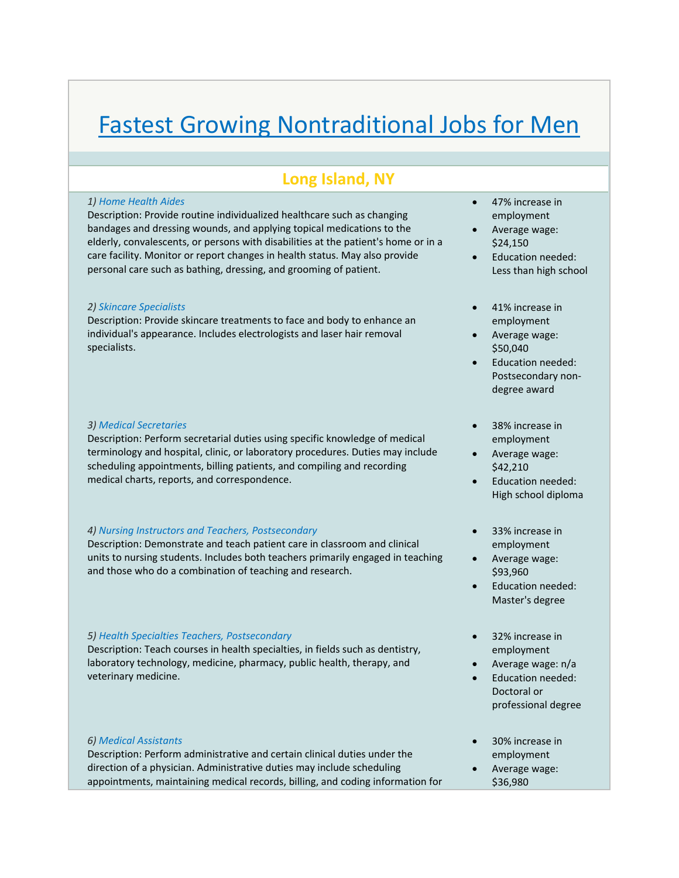# Fastest Growing Nontraditional Jobs for Men

# **Long Island, NY**

## *1) Home Health Aides*

Description: Provide routine individualized healthcare such as changing bandages and dressing wounds, and applying topical medications to the elderly, convalescents, or persons with disabilities at the patient's home or in a care facility. Monitor or report changes in health status. May also provide personal care such as bathing, dressing, and grooming of patient.

# *2) Skincare Specialists*

Description: Provide skincare treatments to face and body to enhance an individual's appearance. Includes electrologists and laser hair removal specialists.

# *3) Medical Secretaries*

Description: Perform secretarial duties using specific knowledge of medical terminology and hospital, clinic, or laboratory procedures. Duties may include scheduling appointments, billing patients, and compiling and recording medical charts, reports, and correspondence.

# *4) Nursing Instructors and Teachers, Postsecondary*

Description: Demonstrate and teach patient care in classroom and clinical units to nursing students. Includes both teachers primarily engaged in teaching and those who do a combination of teaching and research.

# *5) Health Specialties Teachers, Postsecondary*

Description: Teach courses in health specialties, in fields such as dentistry, laboratory technology, medicine, pharmacy, public health, therapy, and veterinary medicine.

### *6) Medical Assistants*

Description: Perform administrative and certain clinical duties under the direction of a physician. Administrative duties may include scheduling appointments, maintaining medical records, billing, and coding information for

- 47% increase in employment
- Average wage: \$24,150
- Education needed: Less than high school
- 41% increase in employment
- Average wage: \$50,040
- Education needed: Postsecondary non‐ degree award
- 38% increase in employment
- Average wage: \$42,210
- Education needed: High school diploma
- 33% increase in employment
- Average wage: \$93,960
- Education needed: Master's degree
- 32% increase in employment
- Average wage: n/a
- Education needed: Doctoral or professional degree
- 30% increase in employment
- Average wage: \$36,980